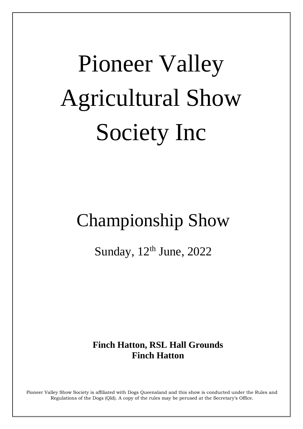# **Pioneer Valley Agricultural Show Society Inc**

# **Championship Show**

Sunday, 12th June, 2022

# **Finch Hatton, RSL Hall Grounds Finch Hatton**

Pioneer Valley Show Society is affiliated with Dogs Queensland and this show is conducted under the Rules and Regulations of the Dogs (Qld). A copy of the rules may be perused at the Secretary's Office.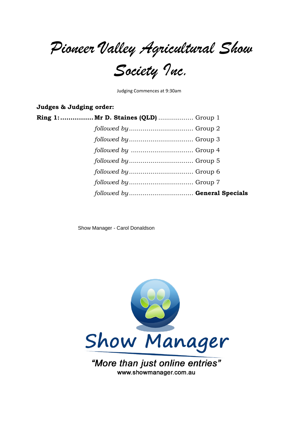Pioneer Valley Agricultural Show<br>Society Inc.

Judging Commences at 9:30am

Judges & Judging order:

| Ring 1:  Mr D. Staines (QLD)  Group 1                         |  |
|---------------------------------------------------------------|--|
|                                                               |  |
|                                                               |  |
|                                                               |  |
| $followed by … … … … … … … … … … … … … … … … … … … … Group 5$ |  |
|                                                               |  |
|                                                               |  |
| followed by General Specials                                  |  |

Show Manager - Carol Donaldson



www.showmanager.com.au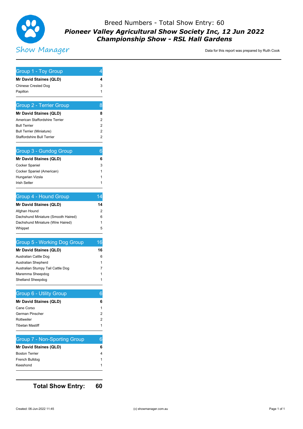

# Breed Numbers - Total Show Entry: 60 Pioneer Valley Agricultural Show Society Inc, 12 Jun 2022 **Championship Show - RSL Hall Gardens**

#### Data for this report was prepared by Ruth Cook

| Group 1 - Toy Group                             | 4                |
|-------------------------------------------------|------------------|
| Mr David Staines (QLD)                          | 4                |
| <b>Chinese Crested Dog</b>                      | 3                |
| Papillon                                        | 1                |
| <b>Group 2 - Terrier Group</b>                  | 8                |
| Mr David Staines (QLD)                          | 8                |
| American Staffordshire Terrier                  | 2                |
| <b>Bull Terrier</b>                             | 2                |
| <b>Bull Terrier (Miniature)</b>                 | 2                |
| <b>Staffordshire Bull Terrier</b>               | 2                |
| Group 3 - Gundog Group                          | 6                |
| Mr David Staines (QLD)                          | 6                |
| Cocker Spaniel                                  | 3                |
| Cocker Spaniel (American)                       | 1                |
| Hungarian Vizsla                                | 1                |
| <b>Irish Setter</b>                             | 1                |
| Group 4 - Hound Group                           | 14               |
| Mr David Staines (QLD)                          | 14               |
| Afghan Hound                                    | 2                |
| Dachshund Miniature (Smooth Haired)             | 6                |
| Dachshund Miniature (Wire Haired)               | 1                |
| Whippet                                         | 5                |
| <b>Group 5 - Working Dog Group</b>              | 16               |
| Mr David Staines (QLD)                          | 16               |
|                                                 | 6                |
| Australian Cattle Dog                           |                  |
| <b>Australian Shepherd</b>                      |                  |
| Australian Stumpy Tail Cattle Dog               |                  |
| Maremma Sheepdog<br>Shetland Sheepdog           | 1<br>7<br>1<br>1 |
|                                                 |                  |
| <b>Group 6 - Utility Group</b>                  | 6                |
| Mr David Staines (QLD)                          |                  |
| Cane Corso                                      |                  |
| German Pinscher                                 | 6<br>1<br>2      |
| Rottweiler<br>Tibetan Mastiff                   | 2<br>1           |
|                                                 | 6                |
| <b>Group 7 - Non-Sporting Group</b>             |                  |
| Mr David Staines (QLD)<br><b>Boston Terrier</b> | 6<br>4           |
| French Bulldog                                  | 1                |
| Keeshond                                        | 1                |

**Total Show Entry:** 

60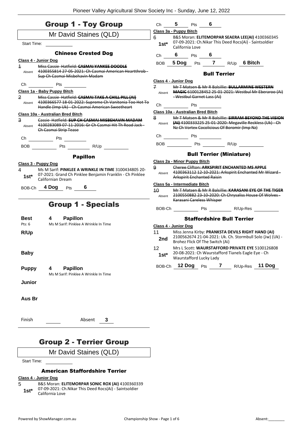| <b>Group 1 - Toy Group</b>                                                                                                                            |                | Ch 5 Pts 6                        |                                   |                                                                                                                   |
|-------------------------------------------------------------------------------------------------------------------------------------------------------|----------------|-----------------------------------|-----------------------------------|-------------------------------------------------------------------------------------------------------------------|
| Mr David Staines (QLD)                                                                                                                                |                | Class 3a - Puppy Bitch            |                                   |                                                                                                                   |
| Start Time:                                                                                                                                           | 6              | California Love                   |                                   | B&S Moran: ELITEMORPAR SEAERA LEE(AI) 4100360345<br>1st* 07-09-2021: Ch.Nikar This Deed Rocs(Ai) - Saintsoldier   |
| <b>Chinese Crested Dog</b>                                                                                                                            |                | Ch 6 Pts 6                        |                                   |                                                                                                                   |
| Class 4 - Junior Dog<br>Miss Cassie Hatfield: CASMAI YANKEE DOODLE<br>$\overline{1}$                                                                  |                |                                   |                                   | BOB 5 Dog Pts 7 R/Up 6 Bitch                                                                                      |
| 4100355814 27 05 2021: Ch Casmai American Heartthrob-<br>Absent<br>Sup Ch Casmai Misbehavin Madam                                                     |                |                                   | <b>Bull Terrier</b>               |                                                                                                                   |
| Ch<br><b>Example 19 Pts</b>                                                                                                                           | $\overline{f}$ | Class 4 - Junior Dog              |                                   | Mr T Matsen & Mr R Balsillie: BULLARMINE WESTERN                                                                  |
| Class 1a - Baby Puppy Bitch                                                                                                                           | Absent         |                                   |                                   | MAGIC 6100128452 25 01 2021: Westbul Mr Eberaroo (Ai)                                                             |
| $\overline{2}$<br>Miss Cassie Hatfield: CASMAI TAKE A CHILL PILL (AI)<br>Absent 4100366577 18-01-2022: Supreme Ch Vanitonia Too Hot To                | Ch             | <b>Pts</b>                        | -Westbul Garnet Lass (Ai)         |                                                                                                                   |
| Handle (Imp Uk) - Ch Casmai American Sweetheart                                                                                                       |                | Class 10a - Australian Bred Bitch |                                   |                                                                                                                   |
| Class 10a - Australian Bred Bitch<br>$\mathbf{a}$<br>Cassie Hatfield: SUP CH CASMAI MISBEHAVIN MADAM                                                  | 8              |                                   |                                   | Mr T Matsen & Mr R Balsillie: SIRRAM BEYOND THE VISION                                                            |
| Absent 4100283089 07-11-2016: Gr Ch Casmai Hit Th Road Jack-<br>Ch Casmai Strip Tease                                                                 |                |                                   |                                   | Absent (AI) 4100333225 25-01-2020: Megaville Reckless (Uk) - Ch<br>Nz Ch Vortex Cocolicious Of Boromir (Imp Nz)   |
|                                                                                                                                                       |                |                                   |                                   |                                                                                                                   |
| BOB Pts R/Up                                                                                                                                          |                |                                   |                                   | BOB Pts R/Up                                                                                                      |
| <b>Papillon</b>                                                                                                                                       |                |                                   |                                   | <b>Bull Terrier (Miniature)</b>                                                                                   |
| Class 3 - Puppy Dog                                                                                                                                   |                | Class 2a - Minor Puppy Bitch      |                                   |                                                                                                                   |
| Ms M Sarif: PINKLEE A WRINKLE IN TIME 3100434805 20-<br>4<br>07-2021: Grand Ch Pinklee Benjamin Franklin - Ch Pinklee<br>$1st^*$<br>Californian Dream | 9<br>Absent    |                                   | <b>Arkspirit Enchanted Raisin</b> | Cheree Clifton: ARKSPIRIT ENCHANTED MS APPLE<br>4100363112 12-10-2021: Arkspirit Enchanted Mr Wizard -            |
| BOB-Ch 4 Dog Pts 6                                                                                                                                    |                | Class 5a - Intermediate Bitch     |                                   |                                                                                                                   |
|                                                                                                                                                       | 40<br>Absent   |                                   | Karasani Careless Whisper         | Mr T Matsen & Mr R Balsillie: KARASANI EYE OF THE TIGER<br>2100550882 23-10-2020: Ch Chrysaliss House Of Wolves - |
| <b>Group 1 - Specials</b>                                                                                                                             |                |                                   |                                   | BOB-Ch Pts R/Up-Res                                                                                               |
| <b>Best</b><br>$\overline{4}$<br><b>Papillon</b>                                                                                                      |                |                                   |                                   | <b>Staffordshire Bull Terrier</b>                                                                                 |
| Ms M Sarif: Pinklee A Wrinkle In Time<br>Pts: 6                                                                                                       |                | Class 4 - Junior Dog              |                                   |                                                                                                                   |
| R/Up                                                                                                                                                  | 11<br>2nd      |                                   | Brohez Flick Of The Switch (Ai)   | Miss Jenna Kirby: PRANKSTA DEVILS RIGHT HAND (AI)<br>2100562674 21-04-2021: Uk. Ch. Stormbull Solo (Jw) (Uk) -    |
| <b>Baby</b>                                                                                                                                           | 12<br>$1st*$   |                                   | Waurstafford Lucky Lady           | Mrs L Scott: WAURSTAFFORD PRIVATE EYE 5100126808<br>20-08-2021: Ch Waurstafford Tianels Eagle Eye - Ch            |
| <b>Puppy</b><br><b>Papillon</b><br>4<br>Ms M Sarif: Pinklee A Wrinkle In Time                                                                         |                |                                   |                                   | BOB-Ch 12 Dog Pts 7 R/Up-Res 11 Dog                                                                               |
| Junior                                                                                                                                                |                |                                   |                                   |                                                                                                                   |
| Aus Br                                                                                                                                                |                |                                   |                                   |                                                                                                                   |
| Finish<br>Absent<br>3                                                                                                                                 |                |                                   |                                   |                                                                                                                   |
| <b>Group 2 - Terrier Group</b>                                                                                                                        |                |                                   |                                   |                                                                                                                   |
| Mr David Staines (QLD)                                                                                                                                |                |                                   |                                   |                                                                                                                   |

#### American Staffordshire Terrier

#### **Class 4 - Junior Dog**

Start Time:

- 5 B&S Moran: **ELITEMORPAR SONIC ROX (AI)** 4100360339
- 07-09-2021: Ch.Nikar This Deed Rocs(Ai) Saintsoldier
- 1st\* 07-09-2021: Ch<br>California Love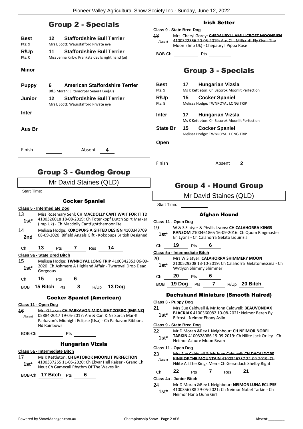## Group 2 - Specials

| <b>Best</b>    | 12. | <b>Staffordshire Bull Terrier</b>                                                      |
|----------------|-----|----------------------------------------------------------------------------------------|
| Pts: 9         |     | Mrs L Scott: Waurstafford Private eye                                                  |
| R/Up<br>Pts: 0 | 11  | <b>Staffordshire Bull Terrier</b><br>Miss Jenna Kirby: Pranksta devils right hand (ai) |
|                |     |                                                                                        |

#### **Minor**

| 6  | <b>American Staffordshire Terrier</b><br>B&S Moran: Elitemorpar Seaera Lee(AI) |
|----|--------------------------------------------------------------------------------|
| 12 | <b>Staffordshire Bull Terrier</b><br>Mrs L Scott: Waurstafford Private eye     |
|    |                                                                                |
|    |                                                                                |

**Aus Br**

Finish Absent **4**

# Group 3 - Gundog Group

### Mr David Staines (QLD)

Start Time:

#### Cocker Spaniel

#### **Class 5 - Intermediate Dog**

- 13 Miss Rosemary Sehl: **CH MACDOLLY CANT WAIT FOR IT TD** 4100326018 18-08-2019: Ch Totenkopf Dutch Spirt Marker (Imp Uk) - Ch Macdolly Cantfightthemoonlite **1st\***
- 14 Melissa Hodge: **KOKOPUPS A GIFTED DESIGN** 4100343709 08-09-2020: Bifield Angels Gift - Kokopups British Designed **2nd**

| Ch | 13 | Pts | Res | 14 |
|----|----|-----|-----|----|
|    |    |     |     |    |

**Class 9a - State Bred Bitch**

- 15 Melissa Hodge: **TWNROYAL LONG TRIP** 4100342353 06-09- 2020: Ch.Ashmere A Highland Affair - Twnroyal Drop Dead 1st<sup>\*</sup> <sup>2020: Ch./</sup><br>Gorgeous
- Ch **15** Pts **6**

BOB **15 Bitch** Pts **8** R/Up **13 Dog**

#### Cocker Spaniel (American)

#### **Class 11 - Open Dog**

16 Mrs G Lazar: **CH PARKAVON MIDNIGHT ZORRO (IMP NZ)** 05884-2017 19-05-2017: Am & Can & Nz Sprch Mar-K Parkavon's Midnight Eclipse (Usa) - Ch Parkavon Ribbons Nd Rainbows Absent

BOB-Ch Pts

#### Hungarian Vizsla

#### **Class 5a - Intermediate Bitch**

17 Ms K Kettleton: **CH BATOROK MOONLIT PERFECTION** 4100337255 11-05-2020: Ch Ekvar Hell Raiser - Grand Ch Neut Ch Gamecall Rhythm Of The Waves Rn **1st\***

BOB-Ch **17 Bitch** Pts **6**

#### Irish Setter

#### **Class 9 - State Bred Dog** 18 Mrs. Cheryl Gorey: **CHEPAURYLL AMILLCROFT MOONRISN** 4100322356 20-05-2019: Aus Ch. Millcroft Fly Over The Moon (Imp Uk) - Chepauryll Pippa Rose Absent

 $BOB-Ch$  Pts  $\qquad$ 

# Group 3 - Specials

| <b>Best</b>     | 17 | <b>Hungarian Vizsla</b>                       |  |  |  |
|-----------------|----|-----------------------------------------------|--|--|--|
| Pts: 9          |    | Ms K Kettleton: Ch Batorok Moonlit Perfection |  |  |  |
| R/Up            | 15 | <b>Cocker Spaniel</b>                         |  |  |  |
| Pts: 8          |    | Melissa Hodge: TWNROYAL LONG TRIP             |  |  |  |
| <b>Inter</b>    | 17 | <b>Hungarian Vizsla</b>                       |  |  |  |
|                 |    | Ms K Kettleton: Ch Batorok Moonlit Perfection |  |  |  |
| <b>State Br</b> | 15 | <b>Cocker Spaniel</b>                         |  |  |  |

Melissa Hodge: TWNROYAL LONG TRIP

**Open**

Finish Absent **2**

# Group 4 - Hound Group

Mr David Staines (QLD)

#### Afghan Hound

#### **Class 11 - Open Dog**

- 19 W & S Slatyer & Phyllis Lyons: **CH CALAHORRA KINGS RANSOM** 2100461865 16-09-2016: Ch Quom Ringmaster En Lyons - Ch Calahorra Gelato Liquirizia **1st\***
- Ch **19** Pts **6**

#### **Class 5a - Intermediate Bitch**

- 20 Mrs W Slatyer: **CALAHORRA SHIMMERY MOON** 2100529308 13-10-2019: Ch Calahorra Gelatomessina - Ch Wytlyon Shimmy Shimmer **1st\***
- Ch **20** Pts **6**
- BOB **19 Dog** Pts **7** R/Up **20 Bitch**

#### Dachshund Miniature (Smooth Haired)

#### **Class 3 - Puppy Dog**

- 21 Mrs Sue Caldwell & Mr John Caldwell: **BEAUVONDAX BLACKJAX** 4100360082 10-08-2021: Neimor Beren By
	- **1st\*** BLACKJAX 4100360082 10-03<br>Bifrost Neimor Ebony Aslin

#### **Class 9 - State Bred Dog**

#### 22 Mr D Moran &Rev L Neighbour: **CH NEIMOR NOBEL TARKIN** 4100328086 19-09-2019: Ch Nilite Jack Oriley - Ch

1st\* **IAKKIN** 4100328086 19-09-<br>Neimor Azhure Moon Beam

#### **Class 11 - Open Dog**

23 Mrs Sue Caldwell & Mr John Caldwell: **CH DACALDORF KING OF THE MOUNTAIN** 4100326757 22-09-2019: Ch Nilite All The Kings Men - Ch Gersndach Shelby Right Absent

#### Ch **22** Pts **7** Res **21**

#### **Class 4a - Junior Bitch**

24 Mr D Moran &Rev L Neighbour: **NEIMOR LUNA ECLIPSE** 4100356788 29-05-2021: Ch Neimor Nobel Tarkin - Ch Neimor Harla Qunn Girl **1st\***

Start Time: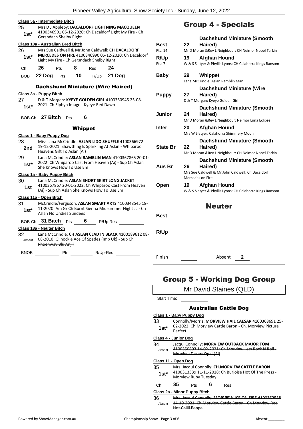|             | Class 5a - Intermediate Bitch                                                                                 |                 | Gro              |
|-------------|---------------------------------------------------------------------------------------------------------------|-----------------|------------------|
| 25          | Mrs D J Appleby: DACALDORF LIGHTNING MACQUEEN                                                                 |                 |                  |
| $1st*$      | 4100346991 05-12-2020: Ch Dacaldorf Light My Fire - Ch<br><b>Gersndach Shelby Right</b>                       |                 |                  |
|             |                                                                                                               |                 |                  |
| 26          | Class 10a - Australian Bred Bitch<br>Mrs Sue Caldwell & Mr John Caldwell: CH DACALDORF                        | Best<br>Pts: 14 | 22<br>Mr D N     |
| $1st^*$     | MERCEDES ON FIRE 4100346990 05-12-2020: Ch Dacaldorf                                                          |                 |                  |
|             | Light My Fire - Ch Gersndach Shelby Right                                                                     | R/Up<br>Pts: 7  | 19               |
| Ch          | 26<br>Pts 8 Res 24                                                                                            |                 | <b>W&amp;S</b>   |
| <b>BOB</b>  | 22 Dog Pts 10 R/Up 21 Dog                                                                                     | <b>Baby</b>     | 29               |
|             |                                                                                                               |                 | Lana N           |
|             | <b>Dachshund Miniature (Wire Haired)</b>                                                                      |                 |                  |
|             | Class 3a - Puppy Bitch                                                                                        | <b>Puppy</b>    | 27               |
| 27          | D & T Morgan: KYEYE GOLDEN GIRL 4100360945 25-08-                                                             |                 | <b>D&amp;T</b>   |
| $1st*$      | 2021: Ch Elphyn Imago - Kyeye Red Dawn                                                                        |                 |                  |
|             |                                                                                                               | <b>Junior</b>   | 24               |
|             | BOB-Ch 27 Bitch Pts<br>6                                                                                      |                 | MrD <sub>l</sub> |
|             | <b>Whippet</b>                                                                                                | Inter           | 20               |
|             | <u> Class 1 - Baby Puppy Dog</u>                                                                              |                 | Mrs W            |
| 28          | Miss Lana McCrindle: ASLAN LIDO SHUFFLE 4100366972                                                            |                 |                  |
| 2nd         | 19-12-2021: Shawthing Is Sparkling At Aslan - Whiparoo                                                        | <b>State Br</b> | 22               |
|             | Heavens Gift To Aslan (Ai)                                                                                    |                 | Mr D N           |
| 29          | Lana McCrindle: ASLAN RAMBLIN MAN 4100367865 20-01-<br>2022: Ch Whiparoo Cast From Heaven (Ai) - Sup Ch Aslan |                 |                  |
| $1st*$      | She Knows How To Use Em                                                                                       | Aus Br          | 26               |
|             | Class 1a - Baby Puppy Bitch                                                                                   |                 | Mrs Su           |
| 30          | Lana McCrindle: ASLAN SHORT SKIRT LONG JACKET                                                                 |                 | Merce            |
| 1st         | 4100367867 20-01-2022: Ch Whiparoo Cast From Heaven                                                           | Open            | 19               |
|             | (Ai) - Sup Ch Aslan She Knows How To Use Em                                                                   |                 | <b>W&amp;S</b>   |
|             | Class 11a - Open Bitch                                                                                        |                 |                  |
| 31          | McCrindle/Ferguson: ASLAN SMART ARTS 4100348545 18-<br>11-2020: Am Gr Ch Burnt Sienna Midsummer Night Jc - Ch |                 |                  |
| $1st*$      | Aslan No Undies Sundees                                                                                       |                 |                  |
|             | BOB-Ch 31 Bitch Pts 6 R/Up-Res                                                                                | Best            |                  |
|             |                                                                                                               |                 |                  |
| 32          | Class 18a - Neuter Bitch<br>Lana McCrindle: CH ASLAN CLAD IN BLACK 4100189612 08-                             | R/Up            |                  |
| Absent      | 08-2010: Gilnockie Ace Of Spades (Imp Uk) Sup Ch                                                              |                 |                  |
|             | Phoenway Blu Anjil                                                                                            |                 |                  |
| <b>BNOB</b> |                                                                                                               |                 |                  |
|             |                                                                                                               | Finish          |                  |
|             |                                                                                                               |                 |                  |

# oup 4 - Specials

|                 |                                                      | <b>Dachshund Miniature (Smooth</b>                                    |  |  |
|-----------------|------------------------------------------------------|-----------------------------------------------------------------------|--|--|
| Best            | 22                                                   | Haired)                                                               |  |  |
| Pts: 14         | Mr D Moran & Rev L Neighbour: CH Neimor Nobel Tarkin |                                                                       |  |  |
| R/Up            | 19                                                   | Afghan Hound                                                          |  |  |
| Pts: 7          |                                                      | W & S Slatyer & Phyllis Lyons: CH Calahorra Kings Ransom              |  |  |
| <b>Baby</b>     | 29                                                   | <b>Whippet</b>                                                        |  |  |
|                 |                                                      | Lana McCrindle: Aslan Ramblin Man                                     |  |  |
|                 |                                                      | <b>Dachshund Miniature (Wire</b>                                      |  |  |
| <b>Puppy</b>    | 27                                                   | Haired)                                                               |  |  |
|                 |                                                      | D & T Morgan: Kyeye Golden Girl                                       |  |  |
|                 |                                                      | <b>Dachshund Miniature (Smooth</b>                                    |  |  |
| Junior          | 24                                                   | Haired)                                                               |  |  |
|                 |                                                      | Mr D Moran & Rev L Neighbour: Neimor Luna Eclipse                     |  |  |
| Inter           | 20                                                   | Afghan Hound                                                          |  |  |
|                 |                                                      | Mrs W Slatyer: Calahorra Shimmery Moon                                |  |  |
|                 |                                                      | <b>Dachshund Miniature (Smooth</b>                                    |  |  |
| <b>State Br</b> | 22 <sub>2</sub>                                      | Haired)                                                               |  |  |
|                 |                                                      | Mr D Moran & Rev L Neighbour: CH Neimor Nobel Tarkin                  |  |  |
|                 |                                                      | <b>Dachshund Miniature (Smooth</b>                                    |  |  |
| Aus Br          | 26                                                   | Haired)                                                               |  |  |
|                 |                                                      | Mrs Sue Caldwell & Mr John Caldwell: Ch Dacaldorf<br>Mercedes on Fire |  |  |
| Open            | 19                                                   | Afghan Hound                                                          |  |  |
|                 |                                                      | W & S Slatyer & Phyllis Lyons: CH Calahorra Kings Ransom              |  |  |
|                 |                                                      |                                                                       |  |  |
|                 |                                                      | <b>Neuter</b>                                                         |  |  |
| Best            |                                                      |                                                                       |  |  |

**Absent** 2

# Group 5 - Working Dog Group

|                                  |                      |     |                          |                              | STOUP J - WOLKING DOG STOUP                             |
|----------------------------------|----------------------|-----|--------------------------|------------------------------|---------------------------------------------------------|
|                                  |                      |     |                          |                              | Mr David Staines (QLD)                                  |
| Start Time:                      |                      |     |                          |                              |                                                         |
|                                  |                      |     |                          | <b>Australian Cattle Dog</b> |                                                         |
| <u> Class 1 - Baby Puppy Doq</u> |                      |     |                          |                              |                                                         |
| 33                               |                      |     |                          |                              | Connolly/Morris: MORVIEW HAIL CAESAR 4100368691 25-     |
| 1st*                             | Perfect              |     |                          |                              | 02-2022: Ch. Morview Cattle Baron - Ch. Morview Picture |
| <u> Class 4 - Junior Dog</u>     |                      |     |                          |                              |                                                         |
| 34                               |                      |     |                          |                              | Jacqui Connolly: MORVIEW OUTBACK MAJOR TOM              |
| Ahsent                           |                      |     | Morview Desert Opal (Ai) |                              | 4100350893 14 02 2021: Ch Morview Lets Rock N Roll      |
| Class 11 - Open Dog              |                      |     |                          |                              |                                                         |
| 35                               |                      |     |                          |                              | Mrs. Jacqui Connolly: CH.MORVIEW CATTLE BARON           |
| 1st*                             | Morview Ruby Tuesday |     |                          |                              | 4100313339 11-11-2018: Ch Burjoise Hot Of The Press -   |
| Ch                               | 35                   | Pts | 6                        | Res                          |                                                         |
| Class 2a - Minor Puppy Bitch     |                      |     |                          |                              |                                                         |
| 36                               |                      |     |                          |                              | Mrs. Jacqui Connolly: MORVIEW ICE ON FIRE 4100362538    |
| Absent                           | Hot Chilli Peppa     |     |                          |                              | 14-10-2021: Ch Morview Cattle Baron - Ch Morview Red    |

 $\mathsf{l}$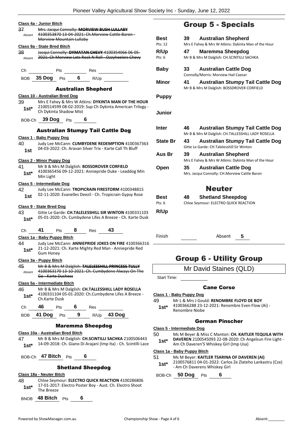|                 | Class 4a - Junior Bitch                                                                                                                   |
|-----------------|-------------------------------------------------------------------------------------------------------------------------------------------|
| 37<br>Absent    | Mrs. Jacqui Connolly: MORVIEW BUSH LULLABY<br>4100353870 13 04 2021: Ch.Morview Cattle Baron-<br>Morview Mountain Lullaby                 |
|                 | Class 9a - State Bred Bitch                                                                                                               |
| 38              | Jacqui Connolly: DYMATAN CHEVY 4100354066 06-05-                                                                                          |
|                 | Absent 2021: Ch Morview Lets Rock N Roll Ozzyheelers Chevy                                                                                |
|                 | BOB 35 Dog Pts 6 R/Up                                                                                                                     |
|                 |                                                                                                                                           |
|                 | <b>Australian Shepherd</b><br><b>Class 10 - Australian Bred Dog</b>                                                                       |
| 39<br>$1st^*$   | Mrs E Fahey & Mrs W Atkins: DYKINTA MAN OF THE HOUR<br>2100514599 08-02-2019: Sup Ch Dykinta American Trilogy -<br>Ch Dykinta Shadow Mist |
|                 | BOB-Ch 39 Dog Pts 6                                                                                                                       |
|                 | <b>Australian Stumpy Tail Cattle Dog</b>                                                                                                  |
|                 | Class 1 - Baby Puppy Dog                                                                                                                  |
| 40              | Judy Lee McCann: CUMBYDENE REDEMPTION 4100367363                                                                                          |
| 1st             | 04-03-2022: Ch. Aravan Silver Trix - Karte Call Th Bluff                                                                                  |
|                 | <b>Class 2 - Minor Puppy Dog</b>                                                                                                          |
| 41 —            | Mr B & Mrs M Dalglish: BOSSDROVER CORFIELD                                                                                                |
| $1st^*$         | 4100365456 09-12-2021: Anniepride Duke - Leaddog Min<br>Min Light                                                                         |
|                 | Class 5 - Intermediate Dog                                                                                                                |
| 42              | Judy Lee McCann: TROPICRAIN FIRESTORM 4100348815                                                                                          |
| 1st l           | 02-11-2020: Evanelles Deezil - Ch. Tropicrain Gypsy Rose                                                                                  |
|                 | <u>Class 9 - State Bred Dog</u>                                                                                                           |
| 43<br>$1st^*$   | Gitte Le Garde: CH.TALELESSHILL SIR WINTON 4100331103<br>05-01-2020: Ch. Cumbydene Lifes A Breeze - Ch. Karte Dusk                        |
| Ch              | Pts 8 Res 43<br>41                                                                                                                        |
|                 | Class 1a - Baby Puppy Bitch                                                                                                               |
| 44 —<br>$1st^*$ | Judy Lee McCann: ANNIEPRIDE JOKES ON FIRE 4100366316<br>21-12-2021: Ch. Karte Mighty Red Man - Anniepride Red<br><b>Gum Honey</b>         |
|                 | Class 3a - Puppy Bitch                                                                                                                    |
| 45<br>Absent    | Mr B & Mrs M Dalglish: TALELESSHILL PRINCESS TULLY<br>4100363170 13 10 2021: Ch. Cumbydene Always On The<br><del>Go - Karte Duchess</del> |
|                 | Class 5a - Intermediate Bitch                                                                                                             |
| 46              | Mr B & Mrs M Dalglish: CH.TALLESSHILL LADY ROSELLA                                                                                        |
| $1st^*$         | 4100331104 05-01-2020: Ch.Cumbydene Lifes A Breeze -<br>Ch.Karte Dusk                                                                     |
| Ch              | $46$ Pts 6 Res                                                                                                                            |
|                 | BOB 41 Dog Pts 9 R/Up 43 Dog                                                                                                              |
|                 | <b>Maremma Sheepdog</b>                                                                                                                   |
|                 | Class 10a - Australian Bred Bitch                                                                                                         |
| 47 —<br>$1st^*$ | Mr B & Mrs M Dalglish: CH.SCINTILLI SACHKA 2100506443<br>14-09-2018: Ch. Giano Di Arajani (Imp Ita) - Ch. Scintilli Lace                  |
|                 | BOB-Ch <b>47 Bitch</b> Pts<br>6                                                                                                           |
|                 | <b>Shetland Sheepdog</b>                                                                                                                  |
|                 | Class 18a - Neuter Bitch                                                                                                                  |
| 48              | Chloe Seymour: ELECTRO QUICK REACTION 4100286806                                                                                          |

17-01-2017: Electro Poster Boy - Aust. Ch. Electro Shoot

| <b>Group 5 - Specials</b> |  |  |  |
|---------------------------|--|--|--|
|---------------------------|--|--|--|

| <b>Best</b><br>Pts: 12<br>R/Up<br>Pts: 6 | <b>Australian Shepherd</b><br>39<br>Mrs E Fahey & Mrs W Atkins: Dykinta Man of the Hour<br>47<br><b>Maremma Sheepdog</b><br>Mr B & Mrs M Dalglish: CH.SCINTILLI SACHKA |  |
|------------------------------------------|------------------------------------------------------------------------------------------------------------------------------------------------------------------------|--|
| <b>Baby</b>                              | 33<br><b>Australian Cattle Dog</b><br>Connolly/Morris: Morview Hail Caesar                                                                                             |  |
| <b>Minor</b>                             | 41<br><b>Australian Stumpy Tail Cattle Dog</b><br>Mr B & Mrs M Dalglish: BOSSDROVER CORFIELD                                                                           |  |
| <b>Puppy</b>                             |                                                                                                                                                                        |  |
| Junior                                   |                                                                                                                                                                        |  |
| <b>Inter</b>                             | 46<br><b>Australian Stumpy Tail Cattle Dog</b><br>Mr B & Mrs M Dalglish: CH.TALLESSHILL LADY ROSELLA                                                                   |  |
| <b>State Br</b>                          | 43<br><b>Australian Stumpy Tail Cattle Dog</b><br>Gitte Le Garde: CH.Talelesshill Sir Winton                                                                           |  |
| Aus Br                                   | 39<br><b>Australian Shepherd</b><br>Mrs E Fahey & Mrs W Atkins: Dykinta Man of the Hour                                                                                |  |
| Open                                     | 35<br><b>Australian Cattle Dog</b><br>Mrs. Jacqui Connolly: CH.Morview Cattle Baron                                                                                    |  |
|                                          | <b>Neuter</b>                                                                                                                                                          |  |
| Best<br>Pts: $6$<br>R/Up                 | 48<br><b>Shetland Sheepdog</b><br>Chloe Seymour: ELECTRO QUICK REACTION                                                                                                |  |
| Finish                                   | Absent<br>5                                                                                                                                                            |  |

## Group 6 - Utility Group

Mr David Staines (QLD)

Start Time:

#### Cane Corso

#### **Class 1 - Baby Puppy Dog**

49 Mr L & Mrs J Gould: **RENOMBRE FLOYD DE BOY**

4100366288 23-12-2021: Renombre Even Flow (Ai) - Renombre Niobe **1st\***

#### German Pinscher

**Class 5 - Intermediate Dog**

- 50 Ms M Beyer & Miss C Manton: **CH. KAITLER TEQUILA WITH**
- **DAVEREN** 2100545093 22-08-2020: Ch Angelsun Fire Light Am Ch Daveren'S Whiskey Girl (Imp Usa) **1st\***

#### **Class 1a - Baby Puppy Bitch**

- 51 Ms M Beyer: **KAITLER TSARINA OF DAVEREN (AI)**
- 2100576811 04-01-2022: Carlos Ze Zlateho Lankastru (Cze) - Am Ch Daverens Whiskey Girl **1st\***

BOB-Ch **50 Dog** Pts **6**

BNOB **48 Bitch** Pts **6**

**1st**\* 1/-01-201/<br>The Breeze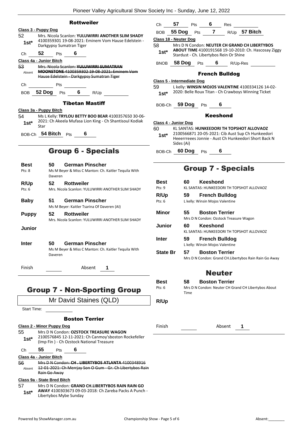|                                                                                                                                                      | Ploneer valley Agricultural Show Society Inc - Sunday, June 12, 2022                                     |                                   |                                                                                                                         |  |
|------------------------------------------------------------------------------------------------------------------------------------------------------|----------------------------------------------------------------------------------------------------------|-----------------------------------|-------------------------------------------------------------------------------------------------------------------------|--|
|                                                                                                                                                      | <b>Rottweiler</b>                                                                                        | 57<br>Ch                          | 6<br>Pts<br>Res                                                                                                         |  |
| Class 3 - Puppy Dog                                                                                                                                  |                                                                                                          | <b>BOB</b>                        | R/Up 57 Bitch<br>55 Dog<br>$Pts$ 7                                                                                      |  |
| 52                                                                                                                                                   | Mrs. Nicola Scanlon: YULUWIRRI ANOTHER SLIM SHADY<br>4100359301 19-08-2021: Eminem Vom Hause Edelstein - | <b>Class 18 - Neuter Dog</b>      |                                                                                                                         |  |
| $1st*$                                                                                                                                               | Darkgypsy Sumatran Tiger                                                                                 | 58<br>$1st*$                      | Mrs D N Condon: NEUTER CH GRAND CH LIBERTYBOS<br>ABOUT TIME 4100191568 19-10-2010: Ch. Hascosay Ziggy                   |  |
| 52<br>Сh                                                                                                                                             | 6<br>Pts                                                                                                 |                                   | Stardust - Ch. Libertybos Rein Or Shine                                                                                 |  |
| <u>Class 4a - Junior Bitch</u>                                                                                                                       |                                                                                                          |                                   | BNOB 58 Dog Pts 6 R/Up-Res                                                                                              |  |
| 53<br>Mrs. Nicola Scanlon: YULUWIRRI SUMATRAN<br>MOONSTONE 4100359302 19 08 2021: Eminem Vom<br>Absent<br>Hause Edelstein - Darkgypsy Sumatran Tiger |                                                                                                          |                                   | <b>French Bulldog</b>                                                                                                   |  |
| Ch                                                                                                                                                   | Pts                                                                                                      | <b>Class 5 - Intermediate Dog</b> |                                                                                                                         |  |
|                                                                                                                                                      | $6\qquad$                                                                                                | 59                                | L kelly: WINSIN MOJOS VALENTINE 4100334126 14-02-<br>2020: Belle Roux Titan - Ch Crawboys Winning Ticket                |  |
| 52 Dog<br><b>BOB</b>                                                                                                                                 | Pts<br>R/Up                                                                                              | $1st*$                            |                                                                                                                         |  |
| Class 3a - Puppy Bitch                                                                                                                               | <b>Tibetan Mastiff</b>                                                                                   |                                   | BOB-Ch 59 Dog Pts<br>6                                                                                                  |  |
| 54                                                                                                                                                   | Ms L Kelly: TRYLOU BETTY BOO BEAR 4100357650 30-06-                                                      |                                   | <b>Keeshond</b>                                                                                                         |  |
| $1st*$                                                                                                                                               | 2021: Ch Akeela Mufasa Lion King - Ch Shantisoul Kodiak                                                  | Class 4 - Junior Dog              |                                                                                                                         |  |
| Star                                                                                                                                                 |                                                                                                          | 60                                | KL SANTAS: HUNKEEDORI TH TOPSHOT ALLOVAOZ                                                                               |  |
|                                                                                                                                                      | BOB-Ch 54 Bitch Pts<br>6                                                                                 | $1st*$                            | 2100566871 20-05-2021: Cib Aust Sup Ch Hunkeedori<br>Heeerrreees Jonnie - Aust Ch Hunkeedori Short Back N<br>Sides (Ai) |  |
|                                                                                                                                                      | <b>Group 6 - Specials</b>                                                                                |                                   | BOB-Ch 60 Dog Pts<br>6                                                                                                  |  |
| <b>Best</b>                                                                                                                                          | <b>German Pinscher</b><br>50                                                                             |                                   |                                                                                                                         |  |
| Pts: 8                                                                                                                                               | Ms M Beyer & Miss C Manton: Ch. Kaitler Tequila With<br>Daveren                                          |                                   | <b>Group 7 - Specials</b>                                                                                               |  |
| R/Up                                                                                                                                                 | 52<br><b>Rottweiler</b>                                                                                  | <b>Best</b>                       | <b>Keeshond</b><br>60                                                                                                   |  |
| Pts: $6$                                                                                                                                             | Mrs. Nicola Scanlon: YULUWIRRI ANOTHER SLIM SHADY                                                        | Pts: 9                            | KL SANTAS: HUNKEEDORI TH TOPSHOT ALLOVAOZ                                                                               |  |
|                                                                                                                                                      |                                                                                                          | R/Up                              | 59<br><b>French Bulldog</b>                                                                                             |  |
| <b>Baby</b>                                                                                                                                          | <b>German Pinscher</b><br>51<br>Ms M Beyer: Kaitler Tsarina Of Daveren (AI)                              | Pts: 6                            | L kelly: Winsin Mojos Valentine                                                                                         |  |
| <b>Puppy</b>                                                                                                                                         | 52<br><b>Rottweiler</b>                                                                                  | <b>Minor</b>                      | <b>Boston Terrier</b><br>55                                                                                             |  |
|                                                                                                                                                      | Mrs. Nicola Scanlon: YULUWIRRI ANOTHER SLIM SHADY                                                        |                                   | Mrs D N Condon: Ozstock Treasure Wagon                                                                                  |  |
| <b>Junior</b>                                                                                                                                        |                                                                                                          | <b>Junior</b>                     | 60<br><b>Keeshond</b>                                                                                                   |  |
|                                                                                                                                                      |                                                                                                          |                                   | KL SANTAS: HUNKEEDORI TH TOPSHOT ALLOVAOZ                                                                               |  |
| <b>Inter</b>                                                                                                                                         | <b>German Pinscher</b><br>50                                                                             | Inter                             | 59 French Bulldog<br>L kelly: Winsin Mojos Valentine                                                                    |  |
|                                                                                                                                                      | Ms M Beyer & Miss C Manton: Ch. Kaitler Tequila With<br>Daveren                                          | <b>State Br</b>                   | 57<br><b>Boston Terrier</b>                                                                                             |  |
|                                                                                                                                                      |                                                                                                          |                                   | Mrs D N Condon: Grand CH.Libertybos Rain Rain Go Away                                                                   |  |
| Finish                                                                                                                                               | Absent<br>1                                                                                              |                                   | <b>Neuter</b>                                                                                                           |  |
|                                                                                                                                                      |                                                                                                          |                                   |                                                                                                                         |  |
| <b>Group 7 - Non-Sporting Group</b>                                                                                                                  |                                                                                                          | Best<br>Pts: 6                    | <b>Boston Terrier</b><br>58<br>Mrs D N Condon: Neuter CH Grand CH Libertybos About<br>Time                              |  |
| Mr David Staines (QLD)                                                                                                                               |                                                                                                          | R/Up                              |                                                                                                                         |  |
| Start Time:                                                                                                                                          |                                                                                                          |                                   |                                                                                                                         |  |
|                                                                                                                                                      | <b>Boston Terrier</b>                                                                                    |                                   |                                                                                                                         |  |
|                                                                                                                                                      |                                                                                                          | Finish                            | Absent                                                                                                                  |  |
| <b>Class 2 - Minor Puppy Dog</b><br>Mrs D N Condon: OZSTOCK TREASURE WAGON<br>55<br>2100576845 12-11-2021: Ch Canmoy'sboston Rockefeller             |                                                                                                          |                                   | 1                                                                                                                       |  |
| $1st^*$<br>(Imp Fin) - Ch Ozstock National Treasure                                                                                                  |                                                                                                          |                                   |                                                                                                                         |  |
| 55<br>6<br>Pts<br>Ch                                                                                                                                 |                                                                                                          |                                   |                                                                                                                         |  |

| 56     | Mrs D N Condon: CH. LIBERTYBOS ATLANTA 4100348916       |  |  |
|--------|---------------------------------------------------------|--|--|
| Absent | 12 01 2021: Ch Merriay Son O Gum Gr. Ch Libertybos Rain |  |  |
|        | Rain Go Away                                            |  |  |

**Class 9a - State Bred Bitch**

57 Mrs D N Condon: **GRAND CH.LIBERTYBOS RAIN RAIN GO 1st\*** AWAY 4100303673 09-03-2018: Ch Zareba Packs A Punch -<br>Libertybos Mybe Sunday